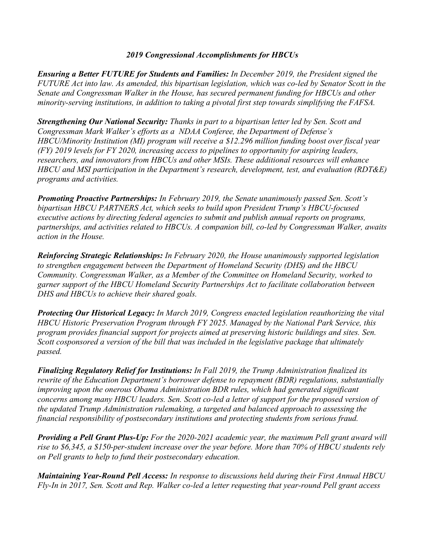## *2019 Congressional Accomplishments for HBCUs*

*Ensuring a Better FUTURE for Students and Families: In December 2019, the President signed the FUTURE Act into law. As amended, this bipartisan legislation, which was co-led by Senator Scott in the Senate and Congressman Walker in the House, has secured permanent funding for HBCUs and other minority-serving institutions, in addition to taking a pivotal first step towards simplifying the FAFSA.* 

*Strengthening Our National Security: Thanks in part to a bipartisan letter led by Sen. Scott and Congressman Mark Walker's efforts as a NDAA Conferee, the Department of Defense's HBCU/Minority Institution (MI) program will receive a \$12.296 million funding boost over fiscal year (FY) 2019 levels for FY 2020, increasing access to pipelines to opportunity for aspiring leaders, researchers, and innovators from HBCUs and other MSIs. These additional resources will enhance HBCU and MSI participation in the Department's research, development, test, and evaluation (RDT&E) programs and activities.*

*Promoting Proactive Partnerships: In February 2019, the Senate unanimously passed Sen. Scott's bipartisan HBCU PARTNERS Act, which seeks to build upon President Trump's HBCU-focused executive actions by directing federal agencies to submit and publish annual reports on programs, partnerships, and activities related to HBCUs. A companion bill, co-led by Congressman Walker, awaits action in the House.* 

*Reinforcing Strategic Relationships: In February 2020, the House unanimously supported legislation to strengthen engagement between the Department of Homeland Security (DHS) and the HBCU Community. Congressman Walker, as a Member of the Committee on Homeland Security, worked to garner support of the HBCU Homeland Security Partnerships Act to facilitate collaboration between DHS and HBCUs to achieve their shared goals.* 

*Protecting Our Historical Legacy: In March 2019, Congress enacted legislation reauthorizing the vital HBCU Historic Preservation Program through FY 2025. Managed by the National Park Service, this program provides financial support for projects aimed at preserving historic buildings and sites. Sen. Scott cosponsored a version of the bill that was included in the legislative package that ultimately passed.*

*Finalizing Regulatory Relief for Institutions: In Fall 2019, the Trump Administration finalized its rewrite of the Education Department's borrower defense to repayment (BDR) regulations, substantially improving upon the onerous Obama Administration BDR rules, which had generated significant concerns among many HBCU leaders. Sen. Scott co-led a letter of support for the proposed version of the updated Trump Administration rulemaking, a targeted and balanced approach to assessing the financial responsibility of postsecondary institutions and protecting students from serious fraud.* 

*Providing a Pell Grant Plus-Up: For the 2020-2021 academic year, the maximum Pell grant award will rise to \$6,345, a \$150-per-student increase over the year before. More than 70% of HBCU students rely on Pell grants to help to fund their postsecondary education.* 

*Maintaining Year-Round Pell Access: In response to discussions held during their First Annual HBCU Fly-In in 2017, Sen. Scott and Rep. Walker co-led a letter requesting that year-round Pell grant access*